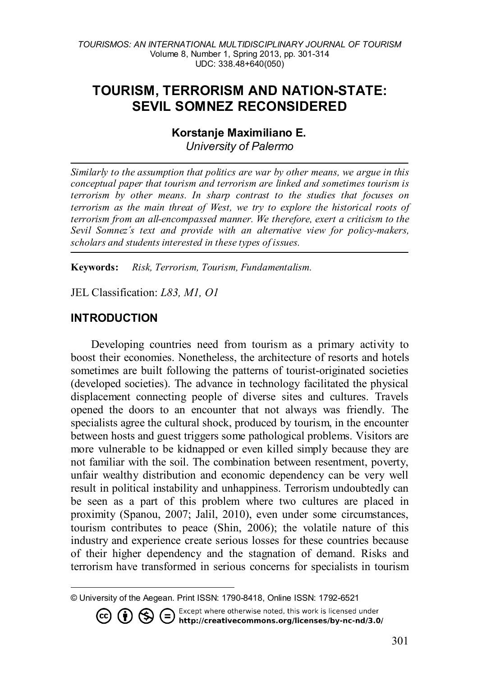# **TOURISM, TERRORISM AND NATION-STATE: SEVIL SOMNEZ RECONSIDERED**

# **Korstanje Maximiliano E.[1](#page-0-0)** *University of Palermo*

*Similarly to the assumption that politics are war by other means, we argue in this conceptual paper that tourism and terrorism are linked and sometimes tourism is terrorism by other means. In sharp contrast to the studies that focuses on terrorism as the main threat of West, we try to explore the historical roots of terrorism from an all-encompassed manner. We therefore, exert a criticism to the Sevil Somnez´s text and provide with an alternative view for policy-makers, scholars and students interested in these types of issues.* 

**Keywords:** *Risk, Terrorism, Tourism, Fundamentalism.*

JEL Classification: *L83, M1, O1*

### **INTRODUCTION**

Developing countries need from tourism as a primary activity to boost their economies. Nonetheless, the architecture of resorts and hotels sometimes are built following the patterns of tourist-originated societies (developed societies). The advance in technology facilitated the physical displacement connecting people of diverse sites and cultures. Travels opened the doors to an encounter that not always was friendly. The specialists agree the cultural shock, produced by tourism, in the encounter between hosts and guest triggers some pathological problems. Visitors are more vulnerable to be kidnapped or even killed simply because they are not familiar with the soil. The combination between resentment, poverty, unfair wealthy distribution and economic dependency can be very well result in political instability and unhappiness. Terrorism undoubtedly can be seen as a part of this problem where two cultures are placed in proximity (Spanou, 2007; Jalil, 2010), even under some circumstances, tourism contributes to peace (Shin, 2006); the volatile nature of this industry and experience create serious losses for these countries because of their higher dependency and the stagnation of demand. Risks and terrorism have transformed in serious concerns for specialists in tourism

. Except where otherwise noted, this work is licensed under Except where otherwise noted, this work is licensed under<br>http://creativecommons.org/licenses/by-nc-nd/3.0/  $(cc)$ (S) (Ť)

<span id="page-0-0"></span> $\overline{a}$ © University of the Aegean. Print ISSN: 1790-8418, Online ISSN: 1792-6521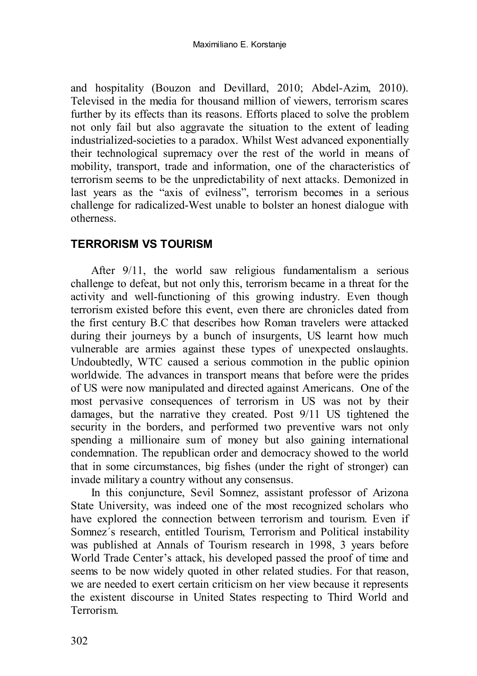and hospitality (Bouzon and Devillard, 2010; Abdel-Azim, 2010). Televised in the media for thousand million of viewers, terrorism scares further by its effects than its reasons. Efforts placed to solve the problem not only fail but also aggravate the situation to the extent of leading industrialized-societies to a paradox. Whilst West advanced exponentially their technological supremacy over the rest of the world in means of mobility, transport, trade and information, one of the characteristics of terrorism seems to be the unpredictability of next attacks. Demonized in last years as the "axis of evilness", terrorism becomes in a serious challenge for radicalized-West unable to bolster an honest dialogue with otherness.

# **TERRORISM VS TOURISM**

After 9/11, the world saw religious fundamentalism a serious challenge to defeat, but not only this, terrorism became in a threat for the activity and well-functioning of this growing industry. Even though terrorism existed before this event, even there are chronicles dated from the first century B.C that describes how Roman travelers were attacked during their journeys by a bunch of insurgents, US learnt how much vulnerable are armies against these types of unexpected onslaughts. Undoubtedly, WTC caused a serious commotion in the public opinion worldwide. The advances in transport means that before were the prides of US were now manipulated and directed against Americans. One of the most pervasive consequences of terrorism in US was not by their damages, but the narrative they created. Post 9/11 US tightened the security in the borders, and performed two preventive wars not only spending a millionaire sum of money but also gaining international condemnation. The republican order and democracy showed to the world that in some circumstances, big fishes (under the right of stronger) can invade military a country without any consensus.

In this conjuncture, Sevil Somnez, assistant professor of Arizona State University, was indeed one of the most recognized scholars who have explored the connection between terrorism and tourism. Even if Somnez's research, entitled Tourism, Terrorism and Political instability was published at Annals of Tourism research in 1998, 3 years before World Trade Center's attack, his developed passed the proof of time and seems to be now widely quoted in other related studies. For that reason, we are needed to exert certain criticism on her view because it represents the existent discourse in United States respecting to Third World and Terrorism.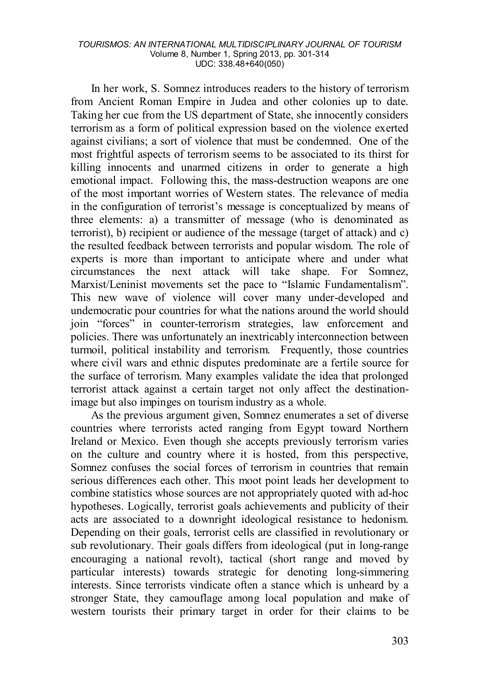#### *TOURISMOS: AN INTERNATIONAL MULTIDISCIPLINARY JOURNAL OF TOURISM* Volume 8, Number 1, Spring 2013, pp. 301-314 UDC: 338.48+640(050)

In her work, S. Somnez introduces readers to the history of terrorism from Ancient Roman Empire in Judea and other colonies up to date. Taking her cue from the US department of State, she innocently considers terrorism as a form of political expression based on the violence exerted against civilians; a sort of violence that must be condemned. One of the most frightful aspects of terrorism seems to be associated to its thirst for killing innocents and unarmed citizens in order to generate a high emotional impact. Following this, the mass-destruction weapons are one of the most important worries of Western states. The relevance of media in the configuration of terrorist's message is conceptualized by means of three elements: a) a transmitter of message (who is denominated as terrorist), b) recipient or audience of the message (target of attack) and c) the resulted feedback between terrorists and popular wisdom. The role of experts is more than important to anticipate where and under what circumstances the next attack will take shape. For Somnez, Marxist/Leninist movements set the pace to "Islamic Fundamentalism". This new wave of violence will cover many under-developed and undemocratic pour countries for what the nations around the world should join "forces" in counter-terrorism strategies, law enforcement and policies. There was unfortunately an inextricably interconnection between turmoil, political instability and terrorism. Frequently, those countries where civil wars and ethnic disputes predominate are a fertile source for the surface of terrorism. Many examples validate the idea that prolonged terrorist attack against a certain target not only affect the destinationimage but also impinges on tourism industry as a whole.

As the previous argument given, Somnez enumerates a set of diverse countries where terrorists acted ranging from Egypt toward Northern Ireland or Mexico. Even though she accepts previously terrorism varies on the culture and country where it is hosted, from this perspective, Somnez confuses the social forces of terrorism in countries that remain serious differences each other. This moot point leads her development to combine statistics whose sources are not appropriately quoted with ad-hoc hypotheses. Logically, terrorist goals achievements and publicity of their acts are associated to a downright ideological resistance to hedonism. Depending on their goals, terrorist cells are classified in revolutionary or sub revolutionary. Their goals differs from ideological (put in long-range encouraging a national revolt), tactical (short range and moved by particular interests) towards strategic for denoting long-simmering interests. Since terrorists vindicate often a stance which is unheard by a stronger State, they camouflage among local population and make of western tourists their primary target in order for their claims to be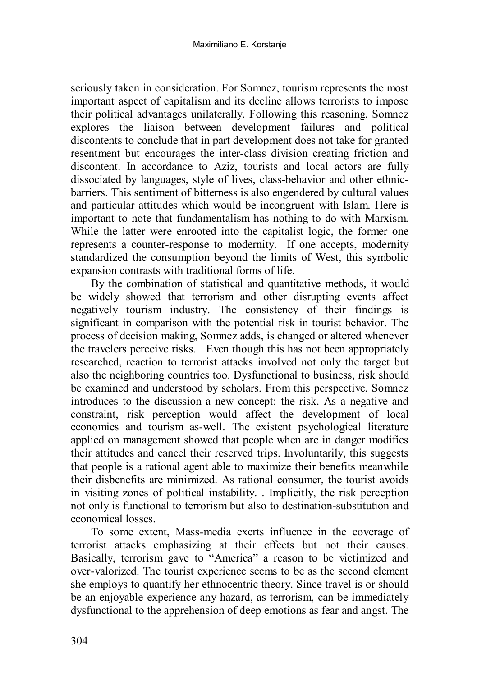seriously taken in consideration. For Somnez, tourism represents the most important aspect of capitalism and its decline allows terrorists to impose their political advantages unilaterally. Following this reasoning, Somnez explores the liaison between development failures and political discontents to conclude that in part development does not take for granted resentment but encourages the inter-class division creating friction and discontent. In accordance to Aziz, tourists and local actors are fully dissociated by languages, style of lives, class-behavior and other ethnicbarriers. This sentiment of bitterness is also engendered by cultural values and particular attitudes which would be incongruent with Islam. Here is important to note that fundamentalism has nothing to do with Marxism. While the latter were enrooted into the capitalist logic, the former one represents a counter-response to modernity. If one accepts, modernity standardized the consumption beyond the limits of West, this symbolic expansion contrasts with traditional forms of life.

By the combination of statistical and quantitative methods, it would be widely showed that terrorism and other disrupting events affect negatively tourism industry. The consistency of their findings is significant in comparison with the potential risk in tourist behavior. The process of decision making, Somnez adds, is changed or altered whenever the travelers perceive risks. Even though this has not been appropriately researched, reaction to terrorist attacks involved not only the target but also the neighboring countries too. Dysfunctional to business, risk should be examined and understood by scholars. From this perspective, Somnez introduces to the discussion a new concept: the risk. As a negative and constraint, risk perception would affect the development of local economies and tourism as-well. The existent psychological literature applied on management showed that people when are in danger modifies their attitudes and cancel their reserved trips. Involuntarily, this suggests that people is a rational agent able to maximize their benefits meanwhile their disbenefits are minimized. As rational consumer, the tourist avoids in visiting zones of political instability. . Implicitly, the risk perception not only is functional to terrorism but also to destination-substitution and economical losses.

To some extent, Mass-media exerts influence in the coverage of terrorist attacks emphasizing at their effects but not their causes. Basically, terrorism gave to "America" a reason to be victimized and over-valorized. The tourist experience seems to be as the second element she employs to quantify her ethnocentric theory. Since travel is or should be an enjoyable experience any hazard, as terrorism, can be immediately dysfunctional to the apprehension of deep emotions as fear and angst. The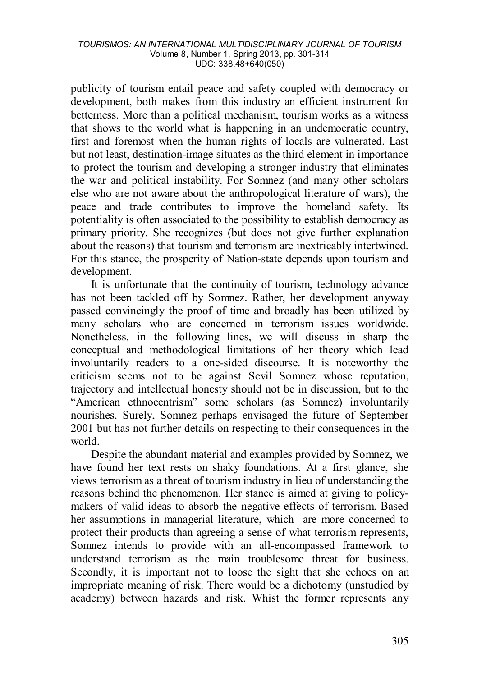publicity of tourism entail peace and safety coupled with democracy or development, both makes from this industry an efficient instrument for betterness. More than a political mechanism, tourism works as a witness that shows to the world what is happening in an undemocratic country, first and foremost when the human rights of locals are vulnerated. Last but not least, destination-image situates as the third element in importance to protect the tourism and developing a stronger industry that eliminates the war and political instability. For Somnez (and many other scholars else who are not aware about the anthropological literature of wars), the peace and trade contributes to improve the homeland safety. Its potentiality is often associated to the possibility to establish democracy as primary priority. She recognizes (but does not give further explanation about the reasons) that tourism and terrorism are inextricably intertwined. For this stance, the prosperity of Nation-state depends upon tourism and development.

It is unfortunate that the continuity of tourism, technology advance has not been tackled off by Somnez. Rather, her development anyway passed convincingly the proof of time and broadly has been utilized by many scholars who are concerned in terrorism issues worldwide. Nonetheless, in the following lines, we will discuss in sharp the conceptual and methodological limitations of her theory which lead involuntarily readers to a one-sided discourse. It is noteworthy the criticism seems not to be against Sevil Somnez whose reputation, trajectory and intellectual honesty should not be in discussion, but to the "American ethnocentrism" some scholars (as Somnez) involuntarily nourishes. Surely, Somnez perhaps envisaged the future of September 2001 but has not further details on respecting to their consequences in the world.

Despite the abundant material and examples provided by Somnez, we have found her text rests on shaky foundations. At a first glance, she views terrorism as a threat of tourism industry in lieu of understanding the reasons behind the phenomenon. Her stance is aimed at giving to policymakers of valid ideas to absorb the negative effects of terrorism. Based her assumptions in managerial literature, which are more concerned to protect their products than agreeing a sense of what terrorism represents, Somnez intends to provide with an all-encompassed framework to understand terrorism as the main troublesome threat for business. Secondly, it is important not to loose the sight that she echoes on an impropriate meaning of risk. There would be a dichotomy (unstudied by academy) between hazards and risk. Whist the former represents any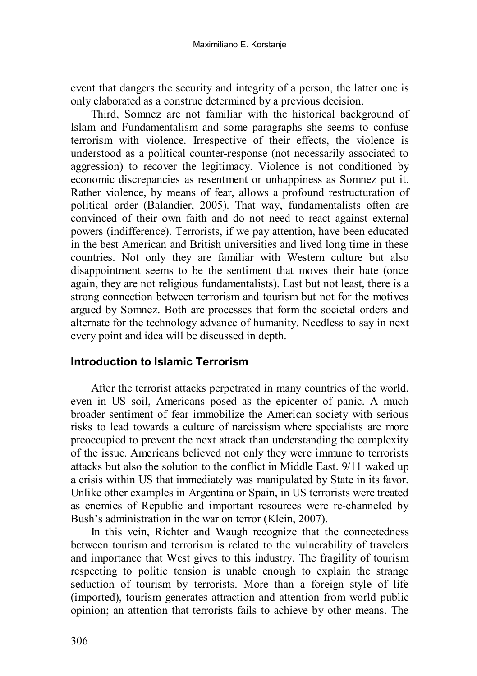event that dangers the security and integrity of a person, the latter one is only elaborated as a construe determined by a previous decision.

Third, Somnez are not familiar with the historical background of Islam and Fundamentalism and some paragraphs she seems to confuse terrorism with violence. Irrespective of their effects, the violence is understood as a political counter-response (not necessarily associated to aggression) to recover the legitimacy. Violence is not conditioned by economic discrepancies as resentment or unhappiness as Somnez put it. Rather violence, by means of fear, allows a profound restructuration of political order (Balandier, 2005). That way, fundamentalists often are convinced of their own faith and do not need to react against external powers (indifference). Terrorists, if we pay attention, have been educated in the best American and British universities and lived long time in these countries. Not only they are familiar with Western culture but also disappointment seems to be the sentiment that moves their hate (once again, they are not religious fundamentalists). Last but not least, there is a strong connection between terrorism and tourism but not for the motives argued by Somnez. Both are processes that form the societal orders and alternate for the technology advance of humanity. Needless to say in next every point and idea will be discussed in depth.

# **Introduction to Islamic Terrorism**

After the terrorist attacks perpetrated in many countries of the world, even in US soil, Americans posed as the epicenter of panic. A much broader sentiment of fear immobilize the American society with serious risks to lead towards a culture of narcissism where specialists are more preoccupied to prevent the next attack than understanding the complexity of the issue. Americans believed not only they were immune to terrorists attacks but also the solution to the conflict in Middle East. 9/11 waked up a crisis within US that immediately was manipulated by State in its favor. Unlike other examples in Argentina or Spain, in US terrorists were treated as enemies of Republic and important resources were re-channeled by Bush's administration in the war on terror (Klein, 2007).

In this vein, Richter and Waugh recognize that the connectedness between tourism and terrorism is related to the vulnerability of travelers and importance that West gives to this industry. The fragility of tourism respecting to politic tension is unable enough to explain the strange seduction of tourism by terrorists. More than a foreign style of life (imported), tourism generates attraction and attention from world public opinion; an attention that terrorists fails to achieve by other means. The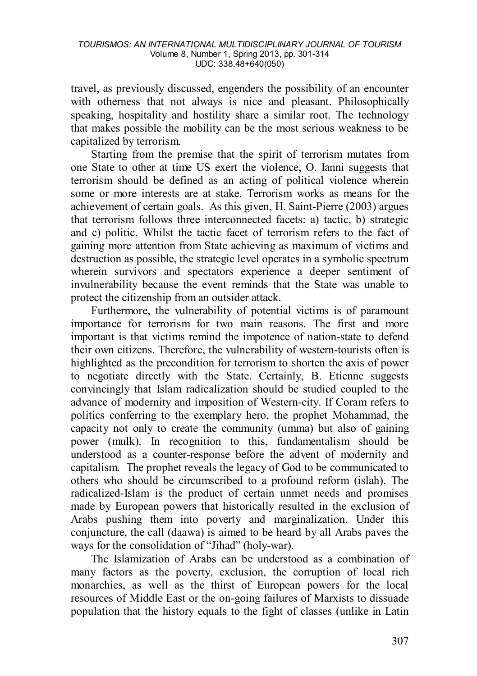travel, as previously discussed, engenders the possibility of an encounter with otherness that not always is nice and pleasant. Philosophically speaking, hospitality and hostility share a similar root. The technology that makes possible the mobility can be the most serious weakness to be capitalized by terrorism.

Starting from the premise that the spirit of terrorism mutates from one State to other at time US exert the violence, O. Ianni suggests that terrorism should be defined as an acting of political violence wherein some or more interests are at stake. Terrorism works as means for the achievement of certain goals. As this given, H. Saint-Pierre (2003) argues that terrorism follows three interconnected facets: a) tactic, b) strategic and c) politic. Whilst the tactic facet of terrorism refers to the fact of gaining more attention from State achieving as maximum of victims and destruction as possible, the strategic level operates in a symbolic spectrum wherein survivors and spectators experience a deeper sentiment of invulnerability because the event reminds that the State was unable to protect the citizenship from an outsider attack.

Furthermore, the vulnerability of potential victims is of paramount importance for terrorism for two main reasons. The first and more important is that victims remind the impotence of nation-state to defend their own citizens. Therefore, the vulnerability of western-tourists often is highlighted as the precondition for terrorism to shorten the axis of power to negotiate directly with the State. Certainly, B. Etienne suggests convincingly that Islam radicalization should be studied coupled to the advance of modernity and imposition of Western-city. If Coram refers to politics conferring to the exemplary hero, the prophet Mohammad, the capacity not only to create the community (umma) but also of gaining power (mulk). In recognition to this, fundamentalism should be understood as a counter-response before the advent of modernity and capitalism. The prophet reveals the legacy of God to be communicated to others who should be circumscribed to a profound reform (islah). The radicalized-Islam is the product of certain unmet needs and promises made by European powers that historically resulted in the exclusion of Arabs pushing them into poverty and marginalization. Under this conjuncture, the call (daawa) is aimed to be heard by all Arabs paves the ways for the consolidation of "Jihad" (holy-war).

The Islamization of Arabs can be understood as a combination of many factors as the poverty, exclusion, the corruption of local rich monarchies, as well as the thirst of European powers for the local resources of Middle East or the on-going failures of Marxists to dissuade population that the history equals to the fight of classes (unlike in Latin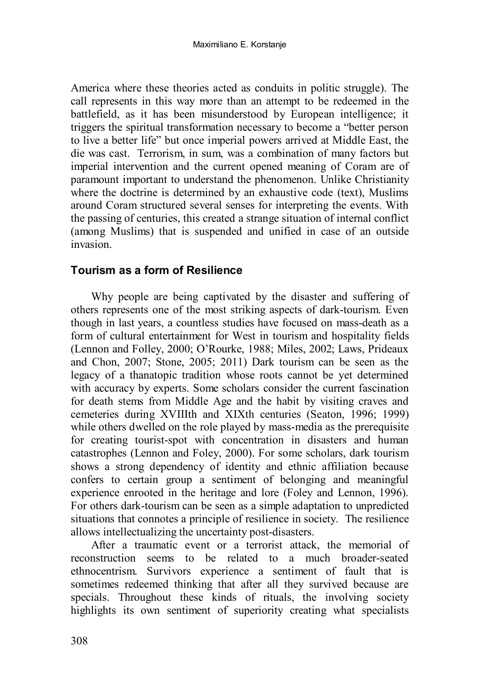America where these theories acted as conduits in politic struggle). The call represents in this way more than an attempt to be redeemed in the battlefield, as it has been misunderstood by European intelligence; it triggers the spiritual transformation necessary to become a "better person to live a better life" but once imperial powers arrived at Middle East, the die was cast. Terrorism, in sum, was a combination of many factors but imperial intervention and the current opened meaning of Coram are of paramount important to understand the phenomenon. Unlike Christianity where the doctrine is determined by an exhaustive code (text), Muslims around Coram structured several senses for interpreting the events. With the passing of centuries, this created a strange situation of internal conflict (among Muslims) that is suspended and unified in case of an outside invasion.

### **Tourism as a form of Resilience**

Why people are being captivated by the disaster and suffering of others represents one of the most striking aspects of dark-tourism. Even though in last years, a countless studies have focused on mass-death as a form of cultural entertainment for West in tourism and hospitality fields (Lennon and Folley, 2000; O'Rourke, 1988; Miles, 2002; Laws, Prideaux and Chon, 2007; Stone, 2005; 2011) Dark tourism can be seen as the legacy of a thanatopic tradition whose roots cannot be yet determined with accuracy by experts. Some scholars consider the current fascination for death stems from Middle Age and the habit by visiting craves and cemeteries during XVIIIth and XIXth centuries (Seaton, 1996; 1999) while others dwelled on the role played by mass-media as the prerequisite for creating tourist-spot with concentration in disasters and human catastrophes (Lennon and Foley, 2000). For some scholars, dark tourism shows a strong dependency of identity and ethnic affiliation because confers to certain group a sentiment of belonging and meaningful experience enrooted in the heritage and lore (Foley and Lennon, 1996). For others dark-tourism can be seen as a simple adaptation to unpredicted situations that connotes a principle of resilience in society. The resilience allows intellectualizing the uncertainty post-disasters.

After a traumatic event or a terrorist attack, the memorial of reconstruction seems to be related to a much broader-seated ethnocentrism. Survivors experience a sentiment of fault that is sometimes redeemed thinking that after all they survived because are specials. Throughout these kinds of rituals, the involving society highlights its own sentiment of superiority creating what specialists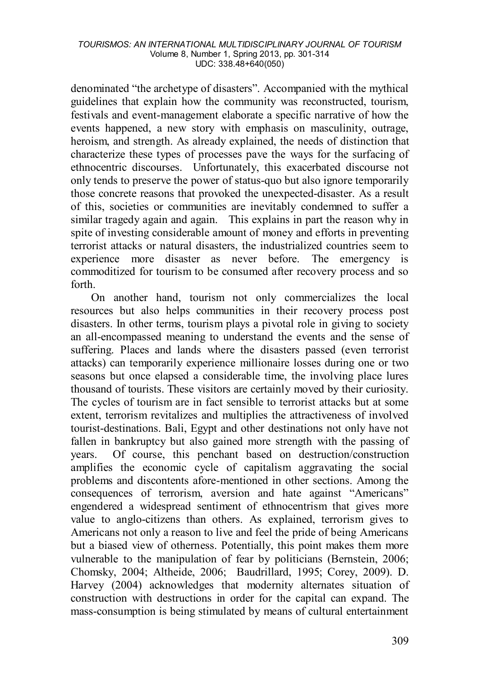denominated "the archetype of disasters". Accompanied with the mythical guidelines that explain how the community was reconstructed, tourism, festivals and event-management elaborate a specific narrative of how the events happened, a new story with emphasis on masculinity, outrage, heroism, and strength. As already explained, the needs of distinction that characterize these types of processes pave the ways for the surfacing of ethnocentric discourses. Unfortunately, this exacerbated discourse not only tends to preserve the power of status-quo but also ignore temporarily those concrete reasons that provoked the unexpected-disaster. As a result of this, societies or communities are inevitably condemned to suffer a similar tragedy again and again. This explains in part the reason why in spite of investing considerable amount of money and efforts in preventing terrorist attacks or natural disasters, the industrialized countries seem to experience more disaster as never before. The emergency is commoditized for tourism to be consumed after recovery process and so forth.

On another hand, tourism not only commercializes the local resources but also helps communities in their recovery process post disasters. In other terms, tourism plays a pivotal role in giving to society an all-encompassed meaning to understand the events and the sense of suffering. Places and lands where the disasters passed (even terrorist attacks) can temporarily experience millionaire losses during one or two seasons but once elapsed a considerable time, the involving place lures thousand of tourists. These visitors are certainly moved by their curiosity. The cycles of tourism are in fact sensible to terrorist attacks but at some extent, terrorism revitalizes and multiplies the attractiveness of involved tourist-destinations. Bali, Egypt and other destinations not only have not fallen in bankruptcy but also gained more strength with the passing of years. Of course, this penchant based on destruction/construction amplifies the economic cycle of capitalism aggravating the social problems and discontents afore-mentioned in other sections. Among the consequences of terrorism, aversion and hate against "Americans" engendered a widespread sentiment of ethnocentrism that gives more value to anglo-citizens than others. As explained, terrorism gives to Americans not only a reason to live and feel the pride of being Americans but a biased view of otherness. Potentially, this point makes them more vulnerable to the manipulation of fear by politicians (Bernstein, 2006; Chomsky, 2004; Altheide, 2006; Baudrillard, 1995; Corey, 2009). D. Harvey (2004) acknowledges that modernity alternates situation of construction with destructions in order for the capital can expand. The mass-consumption is being stimulated by means of cultural entertainment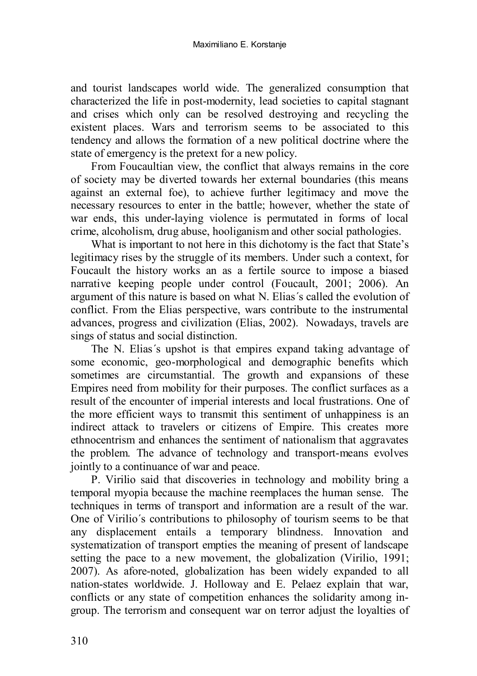and tourist landscapes world wide. The generalized consumption that characterized the life in post-modernity, lead societies to capital stagnant and crises which only can be resolved destroying and recycling the existent places. Wars and terrorism seems to be associated to this tendency and allows the formation of a new political doctrine where the state of emergency is the pretext for a new policy.

From Foucaultian view, the conflict that always remains in the core of society may be diverted towards her external boundaries (this means against an external foe), to achieve further legitimacy and move the necessary resources to enter in the battle; however, whether the state of war ends, this under-laying violence is permutated in forms of local crime, alcoholism, drug abuse, hooliganism and other social pathologies.

What is important to not here in this dichotomy is the fact that State's legitimacy rises by the struggle of its members. Under such a context, for Foucault the history works an as a fertile source to impose a biased narrative keeping people under control (Foucault, 2001; 2006). An argument of this nature is based on what N. Elias´s called the evolution of conflict. From the Elias perspective, wars contribute to the instrumental advances, progress and civilization (Elias, 2002). Nowadays, travels are sings of status and social distinction.

The N. Elias´s upshot is that empires expand taking advantage of some economic, geo-morphological and demographic benefits which sometimes are circumstantial. The growth and expansions of these Empires need from mobility for their purposes. The conflict surfaces as a result of the encounter of imperial interests and local frustrations. One of the more efficient ways to transmit this sentiment of unhappiness is an indirect attack to travelers or citizens of Empire. This creates more ethnocentrism and enhances the sentiment of nationalism that aggravates the problem. The advance of technology and transport-means evolves jointly to a continuance of war and peace.

P. Virilio said that discoveries in technology and mobility bring a temporal myopia because the machine reemplaces the human sense. The techniques in terms of transport and information are a result of the war. One of Virilio´s contributions to philosophy of tourism seems to be that any displacement entails a temporary blindness. Innovation and systematization of transport empties the meaning of present of landscape setting the pace to a new movement, the globalization (Virilio, 1991; 2007). As afore-noted, globalization has been widely expanded to all nation-states worldwide. J. Holloway and E. Pelaez explain that war, conflicts or any state of competition enhances the solidarity among ingroup. The terrorism and consequent war on terror adjust the loyalties of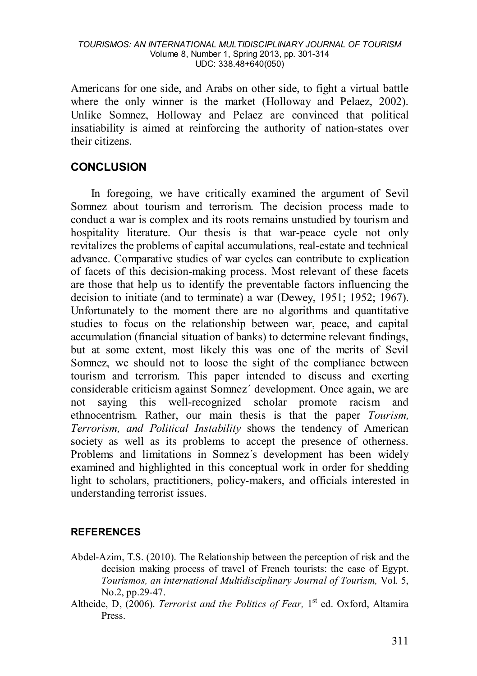#### *TOURISMOS: AN INTERNATIONAL MULTIDISCIPLINARY JOURNAL OF TOURISM* Volume 8, Number 1, Spring 2013, pp. 301-314 UDC: 338.48+640(050)

Americans for one side, and Arabs on other side, to fight a virtual battle where the only winner is the market (Holloway and Pelaez, 2002). Unlike Somnez, Holloway and Pelaez are convinced that political insatiability is aimed at reinforcing the authority of nation-states over their citizens.

# **CONCLUSION**

In foregoing, we have critically examined the argument of Sevil Somnez about tourism and terrorism. The decision process made to conduct a war is complex and its roots remains unstudied by tourism and hospitality literature. Our thesis is that war-peace cycle not only revitalizes the problems of capital accumulations, real-estate and technical advance. Comparative studies of war cycles can contribute to explication of facets of this decision-making process. Most relevant of these facets are those that help us to identify the preventable factors influencing the decision to initiate (and to terminate) a war (Dewey, 1951; 1952; 1967). Unfortunately to the moment there are no algorithms and quantitative studies to focus on the relationship between war, peace, and capital accumulation (financial situation of banks) to determine relevant findings, but at some extent, most likely this was one of the merits of Sevil Somnez, we should not to loose the sight of the compliance between tourism and terrorism. This paper intended to discuss and exerting considerable criticism against Somnez´ development. Once again, we are not saying this well-recognized scholar promote racism and ethnocentrism. Rather, our main thesis is that the paper *Tourism, Terrorism, and Political Instability* shows the tendency of American society as well as its problems to accept the presence of otherness. Problems and limitations in Somnez´s development has been widely examined and highlighted in this conceptual work in order for shedding light to scholars, practitioners, policy-makers, and officials interested in understanding terrorist issues.

### **REFERENCES**

- Abdel-Azim, T.S. (2010). The Relationship between the perception of risk and the decision making process of travel of French tourists: the case of Egypt. *Tourismos, an international Multidisciplinary Journal of Tourism,* Vol. 5, No.2, pp.29-47.
- Altheide, D, (2006). *Terrorist and the Politics of Fear*, 1<sup>st</sup> ed. Oxford, Altamira Press.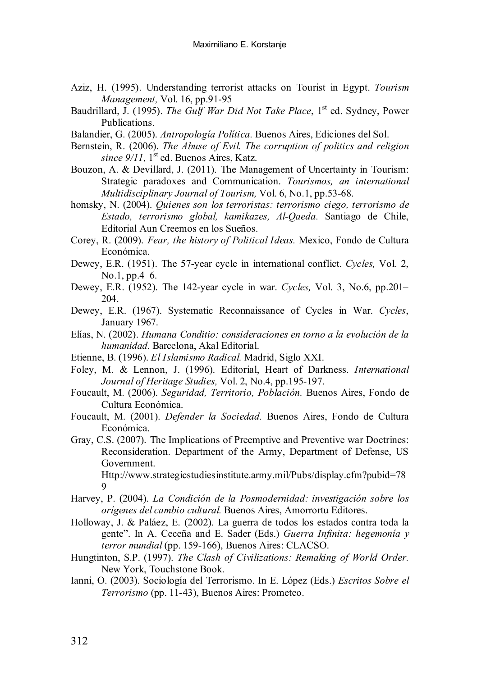- Aziz, H. (1995). Understanding terrorist attacks on Tourist in Egypt. *Tourism Management,* Vol. 16, pp.91-95
- Baudrillard, J. (1995). *The Gulf War Did Not Take Place*, 1<sup>st</sup> ed. Sydney, Power Publications.
- Balandier, G. (2005). *Antropología Política.* Buenos Aires, Ediciones del Sol.
- Bernstein, R. (2006). *The Abuse of Evil. The corruption of politics and religion*  since 9/11, 1<sup>st</sup> ed. Buenos Aires, Katz.
- Bouzon, A. & Devillard, J. (2011). The Management of Uncertainty in Tourism: Strategic paradoxes and Communication. *Tourismos, an international Multidisciplinary Journal of Tourism,* Vol. 6, No.1, pp.53-68.
- homsky, N. (2004). *Quienes son los terroristas: terrorismo ciego, terrorismo de Estado, terrorismo global, kamikazes, Al-Qaeda.* Santiago de Chile, Editorial Aun Creemos en los Sueños.

Corey, R. (2009). *Fear, the history of Political Ideas.* Mexico, Fondo de Cultura Económica.

- Dewey, E.R. (1951). The 57-year cycle in international conflict. *Cycles,* Vol. 2, No.1, pp.4–6.
- Dewey, E.R. (1952). The 142-year cycle in war. *Cycles,* Vol. 3, No.6, pp.201– 204.
- Dewey, E.R. (1967). Systematic Reconnaissance of Cycles in War. *Cycles*, January 1967.
- Elías, N. (2002). *Humana Conditio: consideraciones en torno a la evolución de la humanidad.* Barcelona, Akal Editorial.
- Etienne, B. (1996). *El Islamismo Radical.* Madrid, Siglo XXI.
- Foley, M. & Lennon, J. (1996). Editorial, Heart of Darkness. *International Journal of Heritage Studies,* Vol. 2, No.4, pp.195-197.
- Foucault, M. (2006). *Seguridad, Territorio, Población.* Buenos Aires, Fondo de Cultura Económica.
- Foucault, M. (2001). *Defender la Sociedad.* Buenos Aires, Fondo de Cultura Económica.
- Gray, C.S. (2007). The Implications of Preemptive and Preventive war Doctrines: Reconsideration. Department of the Army, Department of Defense, US Government.

Http://www.strategicstudiesinstitute.army.mil/Pubs/display.cfm?pubid=78 9

- Harvey, P. (2004). *La Condición de la Posmodernidad: investigación sobre los orígenes del cambio cultural.* Buenos Aires, Amorrortu Editores.
- Holloway, J. & Paláez, E. (2002). La guerra de todos los estados contra toda la gente". In A. Ceceña and E. Sader (Eds.) *Guerra Infinita: hegemonía y terror mundial* (pp. 159-166), Buenos Aires: CLACSO.
- Hungtinton, S.P. (1997). *The Clash of Civilizations: Remaking of World Order.*  New York, Touchstone Book.
- Ianni, O. (2003). Sociología del Terrorismo. In E. López (Eds.) *Escritos Sobre el Terrorismo* (pp. 11-43), Buenos Aires: Prometeo.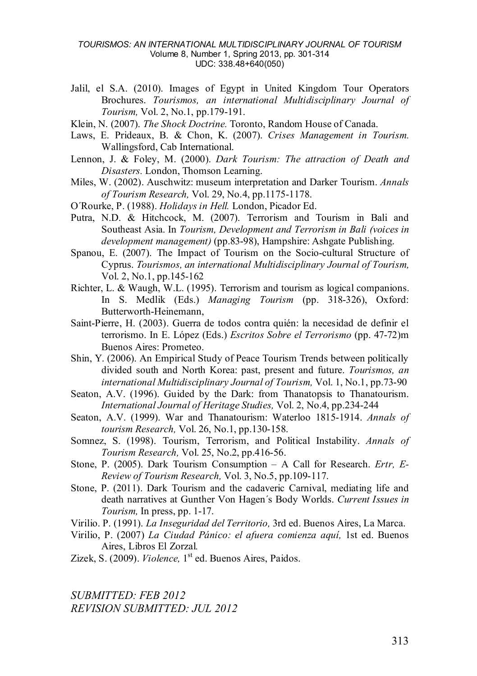#### *TOURISMOS: AN INTERNATIONAL MULTIDISCIPLINARY JOURNAL OF TOURISM* Volume 8, Number 1, Spring 2013, pp. 301-314 UDC: 338.48+640(050)

- Jalil, el S.A. (2010). Images of Egypt in United Kingdom Tour Operators Brochures. *Tourismos, an international Multidisciplinary Journal of Tourism,* Vol. 2, No.1, pp.179-191.
- Klein, N. (2007). *The Shock Doctrine.* Toronto, Random House of Canada.
- Laws, E. Prideaux, B. & Chon, K. (2007). *Crises Management in Tourism.*  Wallingsford, Cab International.
- Lennon, J. & Foley, M. (2000). *Dark Tourism: The attraction of Death and Disasters.* London, Thomson Learning.
- Miles, W. (2002). Auschwitz: museum interpretation and Darker Tourism. *Annals of Tourism Research,* Vol. 29, No.4, pp.1175-1178.
- O´Rourke, P. (1988). *Holidays in Hell.* London, Picador Ed.
- Putra, N.D. & Hitchcock, M. (2007). Terrorism and Tourism in Bali and Southeast Asia. In *Tourism, Development and Terrorism in Bali (voices in development management)* (pp.83-98), Hampshire: Ashgate Publishing.
- Spanou, E. (2007). The Impact of Tourism on the Socio-cultural Structure of Cyprus. *Tourismos, an international Multidisciplinary Journal of Tourism,* Vol. 2, No.1, pp.145-162
- Richter, L. & Waugh, W.L. (1995). Terrorism and tourism as logical companions. In S. Medlik (Eds.) *Managing Tourism* (pp. 318-326), Oxford: Butterworth-Heinemann,
- Saint-Pierre, H. (2003). Guerra de todos contra quién: la necesidad de definir el terrorismo. In E. López (Eds.) *Escritos Sobre el Terrorismo* (pp. 47-72)m Buenos Aires: Prometeo.
- Shin, Y. (2006). An Empirical Study of Peace Tourism Trends between politically divided south and North Korea: past, present and future. *Tourismos, an international Multidisciplinary Journal of Tourism,* Vol. 1, No.1, pp.73-90
- Seaton, A.V. (1996). Guided by the Dark: from Thanatopsis to Thanatourism. *International Journal of Heritage Studies,* Vol. 2, No.4, pp.234-244
- Seaton, A.V. (1999). War and Thanatourism: Waterloo 1815-1914. *Annals of tourism Research,* Vol. 26, No.1, pp.130-158.
- Somnez, S. (1998). Tourism, Terrorism, and Political Instability. *Annals of Tourism Research,* Vol. 25, No.2, pp.416-56.
- Stone, P. (2005). Dark Tourism Consumption A Call for Research. *Ertr, E-Review of Tourism Research,* Vol. 3, No.5, pp.109-117.
- Stone, P. (2011). Dark Tourism and the cadaveric Carnival, mediating life and death narratives at Gunther Von Hagen´s Body Worlds. *Current Issues in Tourism,* In press, pp. 1-17.
- Virilio. P. (1991). *La Inseguridad del Territorio,* 3rd ed. Buenos Aires, La Marca.
- Virilio, P. (2007) *La Ciudad Pánico: el afuera comienza aquí,* 1st ed. Buenos Aires, Libros El Zorzal*.*
- Zizek, S. (2009). *Violence*, 1<sup>st</sup> ed. Buenos Aires, Paidos.

*SUBMITTED: FEB 2012 REVISION SUBMITTED: JUL 2012*